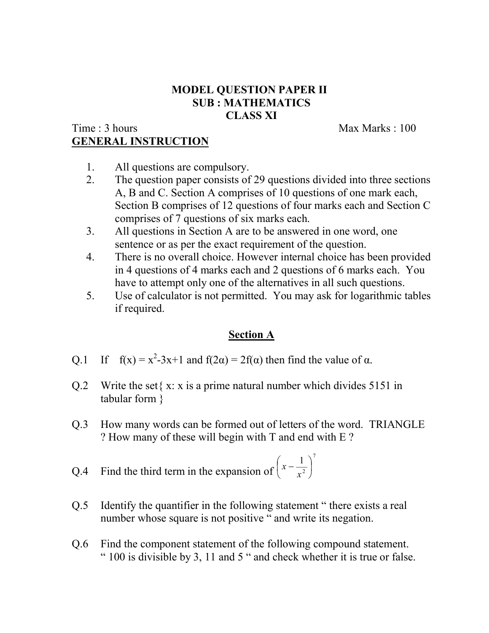# **MODEL QUESTION PAPER II SUB : MATHEMATICS CLASS XI**

# Time : 3 hours Max Marks : 100 **GENERAL INSTRUCTION**

- 1. All questions are compulsory.
- 2. The question paper consists of 29 questions divided into three sections A, B and C. Section A comprises of 10 questions of one mark each, Section B comprises of 12 questions of four marks each and Section C comprises of 7 questions of six marks each.
- 3. All questions in Section A are to be answered in one word, one sentence or as per the exact requirement of the question.
- 4. There is no overall choice. However internal choice has been provided in 4 questions of 4 marks each and 2 questions of 6 marks each. You have to attempt only one of the alternatives in all such questions.
- 5. Use of calculator is not permitted. You may ask for logarithmic tables if required.

# **Section A**

- Q.1 If  $f(x) = x^2-3x+1$  and  $f(2\alpha) = 2f(\alpha)$  then find the value of  $\alpha$ .
- Q.2 Write the set  $\{x: x \text{ is a prime natural number which divides } 5151 \text{ in }$ tabular form }
- Q.3 How many words can be formed out of letters of the word. TRIANGLE ? How many of these will begin with T and end with E ?

Q.4 Find the third term in the expansion of 
$$
\left(x - \frac{1}{x^2}\right)^7
$$

- Q.5 Identify the quantifier in the following statement " there exists a real number whose square is not positive " and write its negation.
- Q.6 Find the component statement of the following compound statement. " 100 is divisible by 3, 11 and 5 " and check whether it is true or false.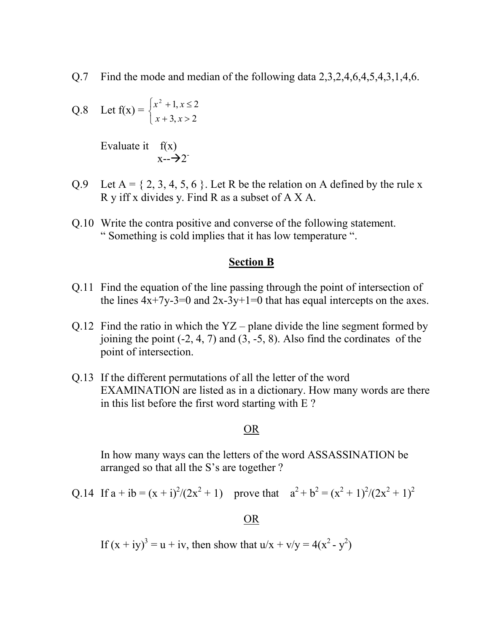Q.7 Find the mode and median of the following data 2,3,2,4,6,4,5,4,3,1,4,6.

Q.8 Let 
$$
f(x) = \begin{cases} x^2 + 1, & x \le 2 \\ x + 3, & x > 2 \end{cases}
$$

Evaluate it  $f(x)$  $x - \rightarrow 2^-$ 

- Q.9 Let  $A = \{2, 3, 4, 5, 6\}$ . Let R be the relation on A defined by the rule x R y iff x divides y. Find R as a subset of A X A.
- Q.10 Write the contra positive and converse of the following statement. " Something is cold implies that it has low temperature ".

#### **Section B**

- Q.11 Find the equation of the line passing through the point of intersection of the lines  $4x+7y-3=0$  and  $2x-3y+1=0$  that has equal intercepts on the axes.
- Q.12 Find the ratio in which the  $YZ$  plane divide the line segment formed by joining the point  $(-2, 4, 7)$  and  $(3, -5, 8)$ . Also find the cordinates of the point of intersection.
- Q.13 If the different permutations of all the letter of the word EXAMINATION are listed as in a dictionary. How many words are there in this list before the first word starting with E ?

#### OR

In how many ways can the letters of the word ASSASSINATION be arranged so that all the S's are together ?

Q.14 If 
$$
a + ib = (x + i)^2/(2x^2 + 1)
$$
 prove that  $a^2 + b^2 = (x^2 + 1)^2/(2x^2 + 1)^2$ 

#### OR

If 
$$
(x + iy)^3 = u + iv
$$
, then show that  $u/x + v/y = 4(x^2 - y^2)$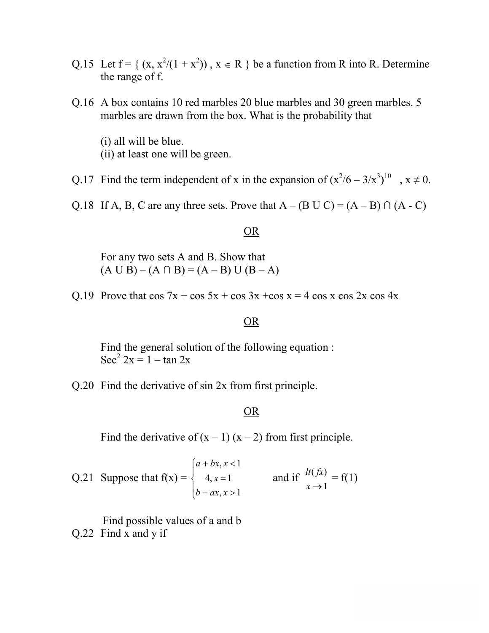- Q.15 Let  $f = \{ (x, x^2/(1 + x^2)) , x \in R \}$  be a function from R into R. Determine the range of f.
- Q.16 A box contains 10 red marbles 20 blue marbles and 30 green marbles. 5 marbles are drawn from the box. What is the probability that
	- (i) all will be blue. (ii) at least one will be green.

Q.17 Find the term independent of x in the expansion of  $(x^2/6 - 3/x^3)^{10}$ ,  $x \ne 0$ .

Q.18 If A, B, C are any three sets. Prove that  $A - (B \cup C) = (A - B) \cap (A - C)$ 

### OR

For any two sets A and B. Show that  $(A \cup B) - (A \cap B) = (A - B) \cup (B - A)$ 

Q.19 Prove that  $\cos 7x + \cos 5x + \cos 3x + \cos x = 4 \cos x \cos 2x \cos 4x$ 

## OR

Find the general solution of the following equation : Sec<sup>2</sup>  $2x = 1 - \tan 2x$ 

Q.20 Find the derivative of sin 2x from first principle.

### OR

Find the derivative of  $(x - 1) (x - 2)$  from first principle.

Q.21 Suppose that  $f(x) =$  $\overline{\mathcal{L}}$  $\overline{ }$ ┤  $\left\lceil \right\rceil$  $-ax, x >$  $=$  $+ bx, x <$  $, x > 1$  $4, x = 1$  $, x < 1$  $b - ax, x$ *x*  $a + bx, x$ and if 1  $(fx)$  $x \rightarrow$  $\frac{dt(fx)}{f(1)} = f(1)$ 

Find possible values of a and b Q.22 Find x and y if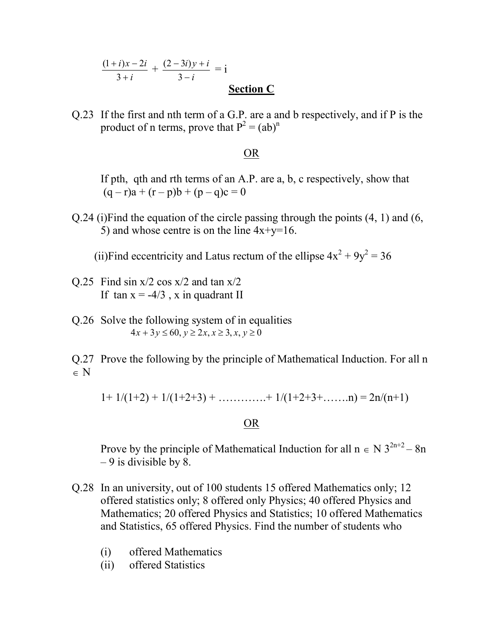$$
\frac{(1+i)x-2i}{3+i} + \frac{(2-3i)y+i}{3-i} = i
$$
  
Section C

Q.23 If the first and nth term of a G.P. are a and b respectively, and if P is the product of n terms, prove that  $P^2 = (ab)^n$ 

### OR

If pth, qth and rth terms of an A.P. are a, b, c respectively, show that  $(q - r)a + (r - p)b + (p - q)c = 0$ 

Q.24 (i)Find the equation of the circle passing through the points (4, 1) and (6, 5) and whose centre is on the line  $4x+y=16$ .

(ii)Find eccentricity and Latus rectum of the ellipse  $4x^2 + 9y^2 = 36$ 

- $Q.25$  Find sin x/2 cos x/2 and tan x/2 If tan  $x = -4/3$ , x in quadrant II
- Q.26 Solve the following system of in equalities  $4x + 3y \le 60, y \ge 2x, x \ge 3, x, y \ge 0$

Q.27 Prove the following by the principle of Mathematical Induction. For all n  $\in N$ 

 $1+ 1/(1+2) + 1/(1+2+3) + \ldots + 1/(1+2+3+......n) = 2n/(n+1)$ 

### OR

Prove by the principle of Mathematical Induction for all  $n \in N 3^{2n+2} - 8n$  $-9$  is divisible by 8.

- Q.28 In an university, out of 100 students 15 offered Mathematics only; 12 offered statistics only; 8 offered only Physics; 40 offered Physics and Mathematics; 20 offered Physics and Statistics; 10 offered Mathematics and Statistics, 65 offered Physics. Find the number of students who
	- (i) offered Mathematics
	- (ii) offered Statistics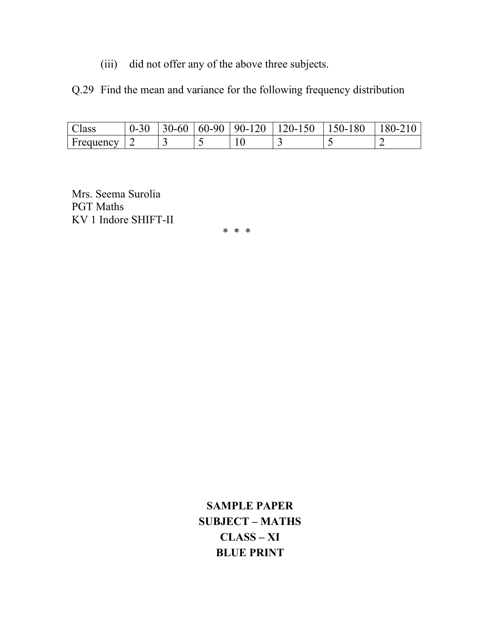(iii) did not offer any of the above three subjects.

Q.29 Find the mean and variance for the following frequency distribution

| Aass      | $J - 30$ | $30 - 60$ | $\mid 60-90 \mid 90-120 \mid$ | $120-150$ | 150-180 | 180-210 |
|-----------|----------|-----------|-------------------------------|-----------|---------|---------|
| Frequency |          | ັ         |                               | -         |         |         |

Mrs. Seema Surolia PGT Maths KV 1 Indore SHIFT-II

\* \* \*

**SAMPLE PAPER SUBJECT – MATHS CLASS – XI BLUE PRINT**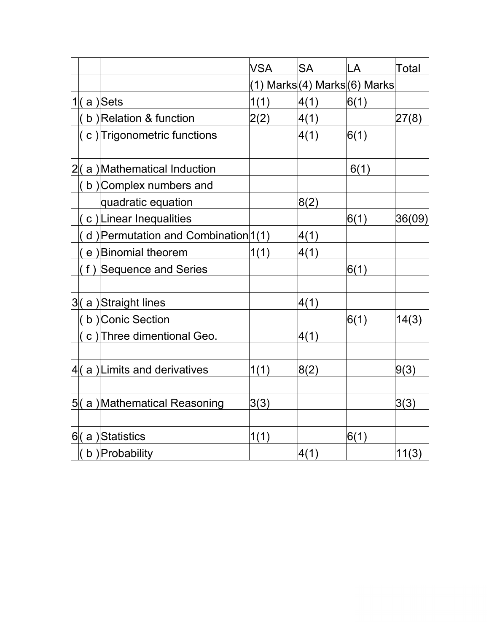|    |                                       | <b>VSA</b> | <b>SA</b> | LA                                                 | Total  |
|----|---------------------------------------|------------|-----------|----------------------------------------------------|--------|
|    |                                       |            |           | (1)        Marks (4)        Marks (6)        Marks |        |
|    | $1/(\alpha)$ Sets                     | 1(1)       | 4(1)      | 6(1)                                               |        |
|    | b) Relation & function                | 2(2)       | 4(1)      |                                                    | 27(8)  |
|    | c) Trigonometric functions            |            | 4(1)      | 6(1)                                               |        |
| 2( | a) Mathematical Induction             |            |           | 6(1)                                               |        |
|    | b) Complex numbers and                |            |           |                                                    |        |
|    | quadratic equation                    |            | 8(2)      |                                                    |        |
|    | c) Linear Inequalities                |            |           | 6(1)                                               | 36(09) |
|    | d) Permutation and Combination $1(1)$ |            | 4(1)      |                                                    |        |
|    | e) Binomial theorem                   | 1(1)       | 4(1)      |                                                    |        |
|    | (f) Sequence and Series               |            |           | 6(1)                                               |        |
|    | 3(a) Straight lines                   |            | 4(1)      |                                                    |        |
|    | b) Conic Section                      |            |           | 6(1)                                               | 14(3)  |
|    | c) Three dimentional Geo.             |            | 4(1)      |                                                    |        |
|    | 4(a) Limits and derivatives           | 1(1)       | 8(2)      |                                                    | 9(3)   |
|    | 5(a) Mathematical Reasoning           | 3(3)       |           |                                                    | 3(3)   |
|    | 6(a)Statistics                        | 1(1)       |           | 6(1)                                               |        |
|    | $($ b $)$ Probability                 |            | 4(1)      |                                                    | 11(3)  |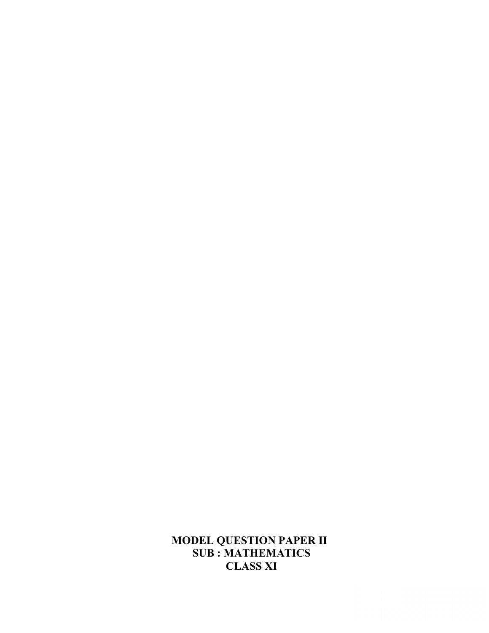# **MODEL QUESTION PAPER II SUB : MATHEMATICS CLASS XI**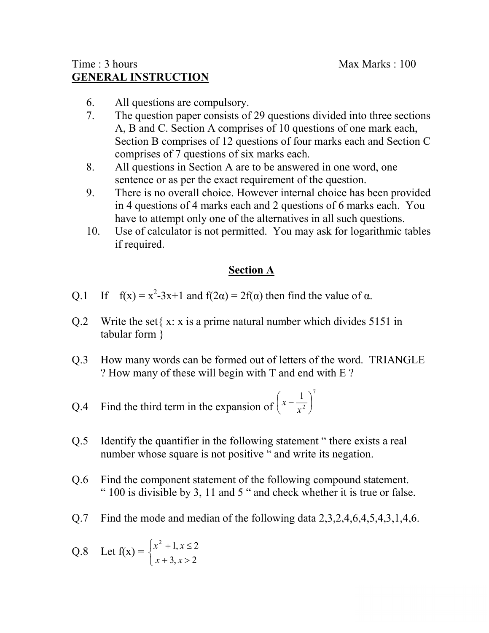# $Time: 3 hours$  Max Marks : 100 **GENERAL INSTRUCTION**

- 6. All questions are compulsory.
- 7. The question paper consists of 29 questions divided into three sections A, B and C. Section A comprises of 10 questions of one mark each, Section B comprises of 12 questions of four marks each and Section C comprises of 7 questions of six marks each.
- 8. All questions in Section A are to be answered in one word, one sentence or as per the exact requirement of the question.
- 9. There is no overall choice. However internal choice has been provided in 4 questions of 4 marks each and 2 questions of 6 marks each. You have to attempt only one of the alternatives in all such questions.
- 10. Use of calculator is not permitted. You may ask for logarithmic tables if required.

# **Section A**

- Q.1 If  $f(x) = x^2-3x+1$  and  $f(2\alpha) = 2f(\alpha)$  then find the value of  $\alpha$ .
- Q.2 Write the set  $\{x: x \text{ is a prime natural number which divides } 5151 \text{ in }$ tabular form }
- Q.3 How many words can be formed out of letters of the word. TRIANGLE ? How many of these will begin with T and end with E ?

Q.4 Find the third term in the expansion of 
$$
\left(x - \frac{1}{x^2}\right)^7
$$

- Q.5 Identify the quantifier in the following statement " there exists a real number whose square is not positive " and write its negation.
- Q.6 Find the component statement of the following compound statement. " 100 is divisible by 3, 11 and 5 " and check whether it is true or false.
- Q.7 Find the mode and median of the following data 2,3,2,4,6,4,5,4,3,1,4,6.

Q.8 Let 
$$
f(x) = \begin{cases} x^2 + 1, & x \le 2 \\ x + 3, & x > 2 \end{cases}
$$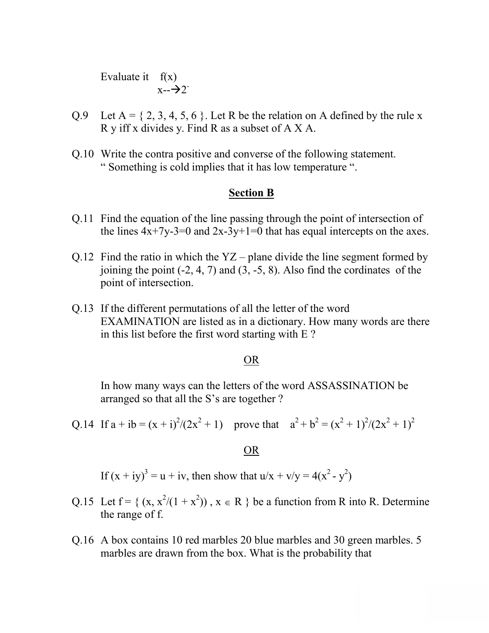Evaluate it  $f(x)$  $x - \rightarrow 2^-$ 

- Q.9 Let  $A = \{2, 3, 4, 5, 6\}$ . Let R be the relation on A defined by the rule x R y iff x divides y. Find R as a subset of A X A.
- Q.10 Write the contra positive and converse of the following statement. " Something is cold implies that it has low temperature ".

## **Section B**

- Q.11 Find the equation of the line passing through the point of intersection of the lines  $4x+7y-3=0$  and  $2x-3y+1=0$  that has equal intercepts on the axes.
- Q.12 Find the ratio in which the  $YZ$  plane divide the line segment formed by joining the point  $(-2, 4, 7)$  and  $(3, -5, 8)$ . Also find the cordinates of the point of intersection.
- Q.13 If the different permutations of all the letter of the word EXAMINATION are listed as in a dictionary. How many words are there in this list before the first word starting with E ?

### OR

In how many ways can the letters of the word ASSASSINATION be arranged so that all the S's are together ?

Q.14 If  $a + ib = (x + i)^2/(2x^2 + 1)$  prove that  $a^2 + b^2 = (x^2 + 1)^2/(2x^2 + 1)^2$ 

### OR

If  $(x + iy)^3 = u + iv$ , then show that  $u/x + v/y = 4(x^2 - y^2)$ 

- Q.15 Let  $f = \{ (x, x^2/(1 + x^2)) , x \in R \}$  be a function from R into R. Determine the range of f.
- Q.16 A box contains 10 red marbles 20 blue marbles and 30 green marbles. 5 marbles are drawn from the box. What is the probability that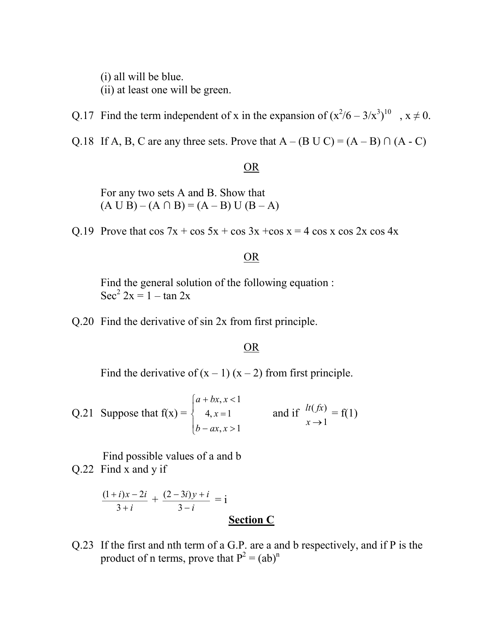(i) all will be blue.

(ii) at least one will be green.

Q.17 Find the term independent of x in the expansion of  $(x^2/6 - 3/x^3)^{10}$ ,  $x \ne 0$ .

Q.18 If A, B, C are any three sets. Prove that  $A - (B \cup C) = (A - B) \cap (A - C)$ 

### OR

For any two sets A and B. Show that  $(A \cup B) - (A \cap B) = (A - B) \cup (B - A)$ 

Q.19 Prove that  $\cos 7x + \cos 5x + \cos 3x + \cos x = 4 \cos x \cos 2x \cos 4x$ 

# OR

Find the general solution of the following equation : Sec<sup>2</sup>  $2x = 1 - \tan 2x$ 

Q.20 Find the derivative of sin 2x from first principle.

### OR

Find the derivative of  $(x - 1)(x - 2)$  from first principle.

Q.21 Suppose that 
$$
f(x) = \begin{cases} a + bx, x < 1 \\ 4, x = 1 \\ b - ax, x > 1 \end{cases}
$$
 and if  $\begin{cases} h(fx) \\ x \to 1 \end{cases} = f(1)$ 

Find possible values of a and b

Q.22 Find x and y if

$$
\frac{(1+i)x - 2i}{3+i} + \frac{(2-3i)y + i}{3-i} = i
$$
  
Section C

Q.23 If the first and nth term of a G.P. are a and b respectively, and if P is the product of n terms, prove that  $P^2 = (ab)^n$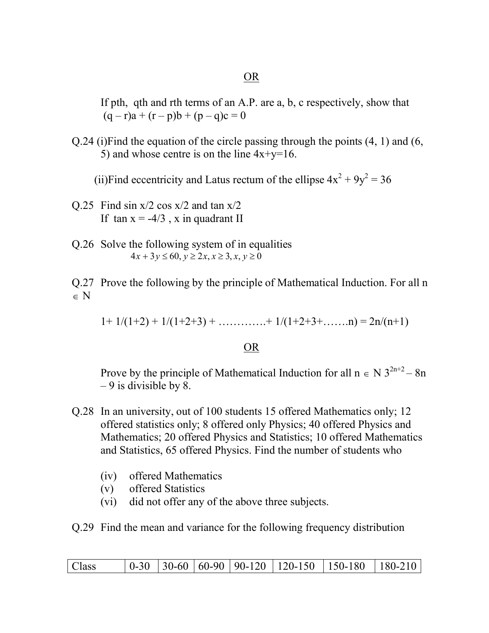### OR

If pth, qth and rth terms of an A.P. are a, b, c respectively, show that  $(q - r)a + (r - p)b + (p - q)c = 0$ 

Q.24 (i)Find the equation of the circle passing through the points (4, 1) and (6, 5) and whose centre is on the line  $4x+y=16$ .

(ii)Find eccentricity and Latus rectum of the ellipse  $4x^2 + 9y^2 = 36$ 

- Q.25 Find sin  $x/2 \cos x/2$  and tan  $x/2$ If tan  $x = -4/3$ , x in quadrant II
- Q.26 Solve the following system of in equalities  $4x + 3y \le 60, y \ge 2x, x \ge 3, x, y \ge 0$
- Q.27 Prove the following by the principle of Mathematical Induction. For all n  $\in N$

 $1+ 1/(1+2) + 1/(1+2+3) + \ldots + 1/(1+2+3+......n) = 2n/(n+1)$ 

## OR

Prove by the principle of Mathematical Induction for all  $n \in N 3^{2n+2} - 8n$  $-9$  is divisible by 8.

- Q.28 In an university, out of 100 students 15 offered Mathematics only; 12 offered statistics only; 8 offered only Physics; 40 offered Physics and Mathematics; 20 offered Physics and Statistics; 10 offered Mathematics and Statistics, 65 offered Physics. Find the number of students who
	- (iv) offered Mathematics
	- (v) offered Statistics
	- (vi) did not offer any of the above three subjects.

Q.29 Find the mean and variance for the following frequency distribution

| Class |  | $\vert 0.30 \vert 30.60 \vert 60.90 \vert 90.120 \vert 120.150 \vert 150.180 \vert 180.210$ |
|-------|--|---------------------------------------------------------------------------------------------|
|-------|--|---------------------------------------------------------------------------------------------|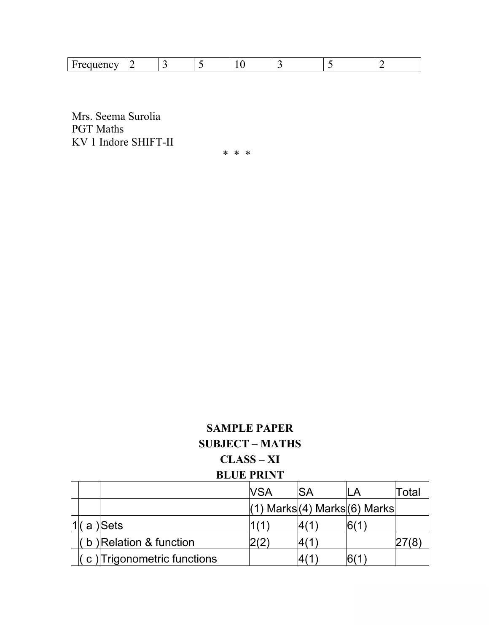| $\sim$ $\sim$ $\sim$<br>$-$ |  |  |  |  |  |  |  |  |  |
|-----------------------------|--|--|--|--|--|--|--|--|--|
|-----------------------------|--|--|--|--|--|--|--|--|--|

Mrs. Seema Surolia PGT Maths KV 1 Indore SHIFT-II

\* \* \*

# **SAMPLE PAPER SUBJECT – MATHS CLASS – XI BLUE PRINT**

|  |                            | <b>NSA</b> | <b>ISA</b> | II A                                | Total |
|--|----------------------------|------------|------------|-------------------------------------|-------|
|  |                            |            |            | $(1)$ Marks $(4)$ Marks $(6)$ Marks |       |
|  | a Sets                     |            |            |                                     |       |
|  | b) Relation & function     |            |            |                                     |       |
|  | c) Trigonometric functions |            |            |                                     |       |